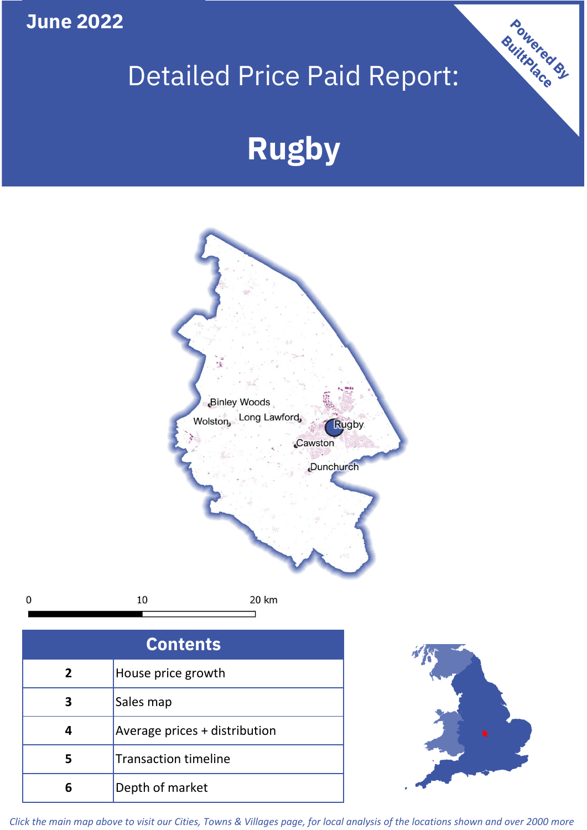**June 2022**

## Detailed Price Paid Report:

Powered By

# **Rugby**



*Click the main map above to visit our Cities, Towns & Villages page, for local analysis of the locations shown and over 2000 more*

**6** Depth of market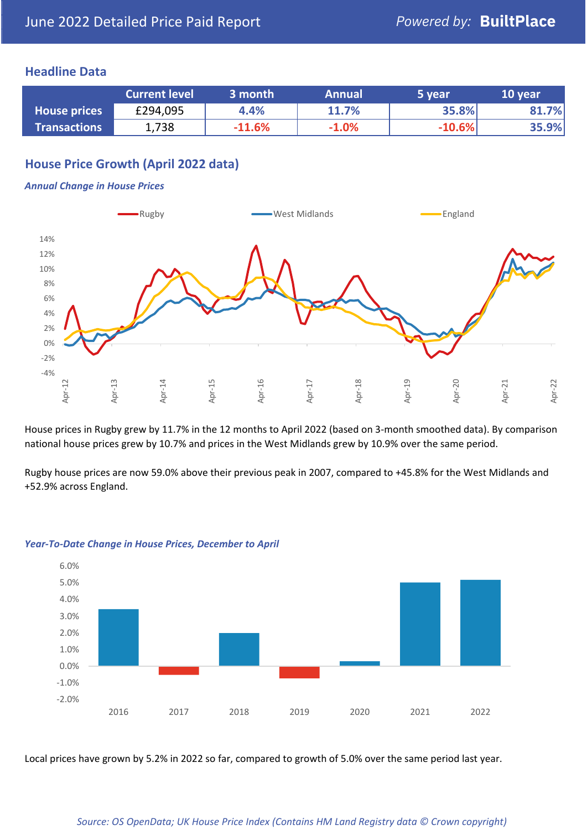#### **Headline Data**

|                     | <b>Current level</b> | 3 month  | <b>Annual</b> | 5 year   | 10 year |
|---------------------|----------------------|----------|---------------|----------|---------|
| <b>House prices</b> | £294,095             | 4.4%     | 11.7%         | 35.8%    | 81.7%   |
| <b>Transactions</b> | 1,738                | $-11.6%$ | $-1.0%$       | $-10.6%$ | 35.9%   |

#### **House Price Growth (April 2022 data)**

#### *Annual Change in House Prices*



House prices in Rugby grew by 11.7% in the 12 months to April 2022 (based on 3-month smoothed data). By comparison national house prices grew by 10.7% and prices in the West Midlands grew by 10.9% over the same period.

Rugby house prices are now 59.0% above their previous peak in 2007, compared to +45.8% for the West Midlands and +52.9% across England.



#### *Year-To-Date Change in House Prices, December to April*

Local prices have grown by 5.2% in 2022 so far, compared to growth of 5.0% over the same period last year.

#### *Source: OS OpenData; UK House Price Index (Contains HM Land Registry data © Crown copyright)*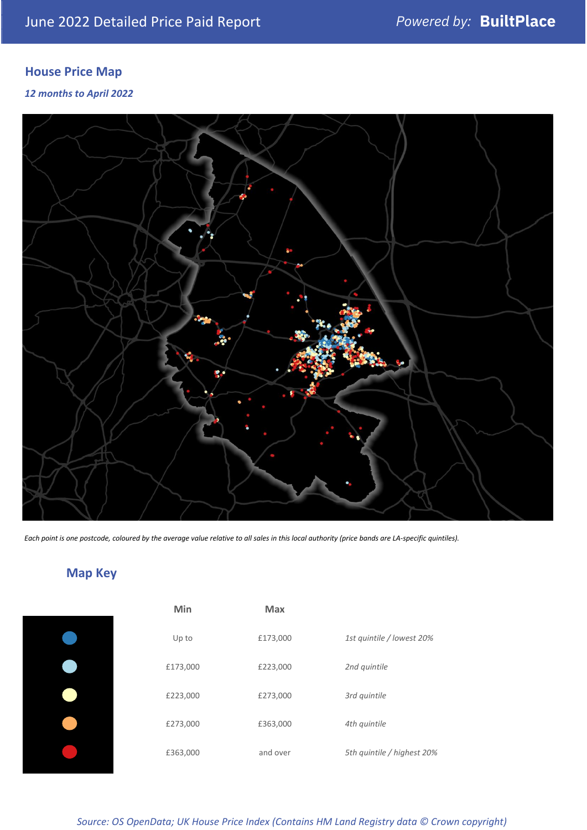### **House Price Map**

*12 months to April 2022*



*Each point is one postcode, coloured by the average value relative to all sales in this local authority (price bands are LA-specific quintiles).*

### **Map Key**

| 1st quintile / lowest 20%  |
|----------------------------|
|                            |
|                            |
|                            |
| 5th quintile / highest 20% |
|                            |

#### *Source: OS OpenData; UK House Price Index (Contains HM Land Registry data © Crown copyright)*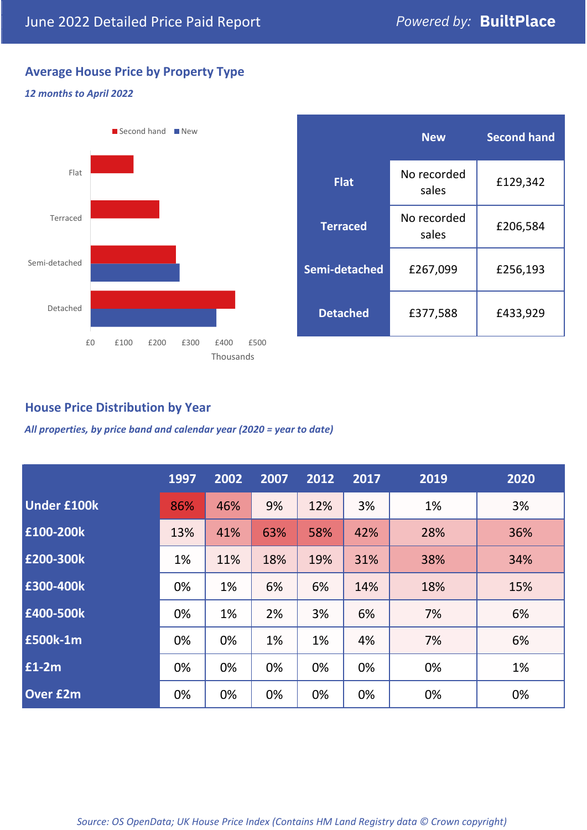### **Average House Price by Property Type**

#### *12 months to April 2022*



|                 | <b>New</b>           | <b>Second hand</b> |  |  |
|-----------------|----------------------|--------------------|--|--|
| <b>Flat</b>     | No recorded<br>sales | £129,342           |  |  |
| <b>Terraced</b> | No recorded<br>sales | £206,584           |  |  |
| Semi-detached   | £267,099             | £256,193           |  |  |
| <b>Detached</b> | £377,588             | £433,929           |  |  |

#### **House Price Distribution by Year**

*All properties, by price band and calendar year (2020 = year to date)*

|                    | 1997 | 2002 | 2007 | 2012 | 2017 | 2019 | 2020 |
|--------------------|------|------|------|------|------|------|------|
| <b>Under £100k</b> | 86%  | 46%  | 9%   | 12%  | 3%   | 1%   | 3%   |
| £100-200k          | 13%  | 41%  | 63%  | 58%  | 42%  | 28%  | 36%  |
| E200-300k          | 1%   | 11%  | 18%  | 19%  | 31%  | 38%  | 34%  |
| £300-400k          | 0%   | 1%   | 6%   | 6%   | 14%  | 18%  | 15%  |
| £400-500k          | 0%   | 1%   | 2%   | 3%   | 6%   | 7%   | 6%   |
| <b>£500k-1m</b>    | 0%   | 0%   | 1%   | 1%   | 4%   | 7%   | 6%   |
| £1-2m              | 0%   | 0%   | 0%   | 0%   | 0%   | 0%   | 1%   |
| <b>Over £2m</b>    | 0%   | 0%   | 0%   | 0%   | 0%   | 0%   | 0%   |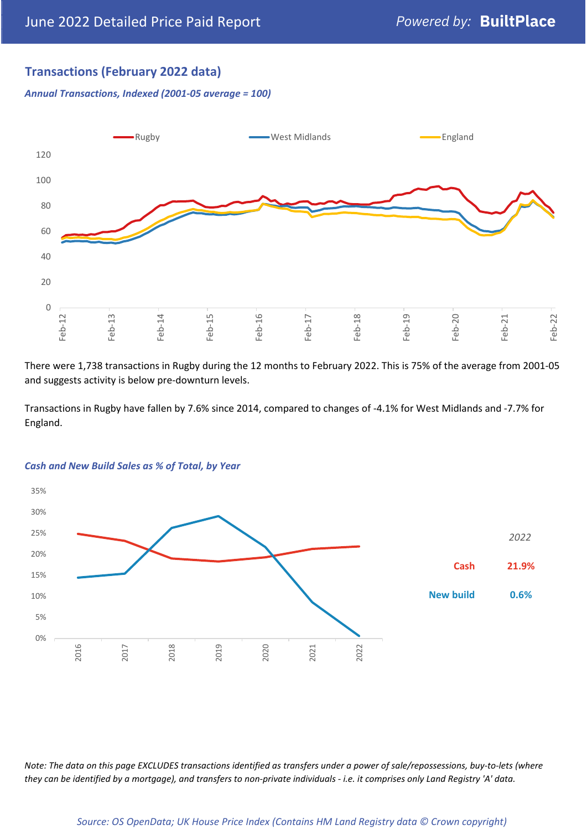#### **Transactions (February 2022 data)**

*Annual Transactions, Indexed (2001-05 average = 100)*



There were 1,738 transactions in Rugby during the 12 months to February 2022. This is 75% of the average from 2001-05 and suggests activity is below pre-downturn levels.

Transactions in Rugby have fallen by 7.6% since 2014, compared to changes of -4.1% for West Midlands and -7.7% for England.



#### *Cash and New Build Sales as % of Total, by Year*

*Note: The data on this page EXCLUDES transactions identified as transfers under a power of sale/repossessions, buy-to-lets (where they can be identified by a mortgage), and transfers to non-private individuals - i.e. it comprises only Land Registry 'A' data.*